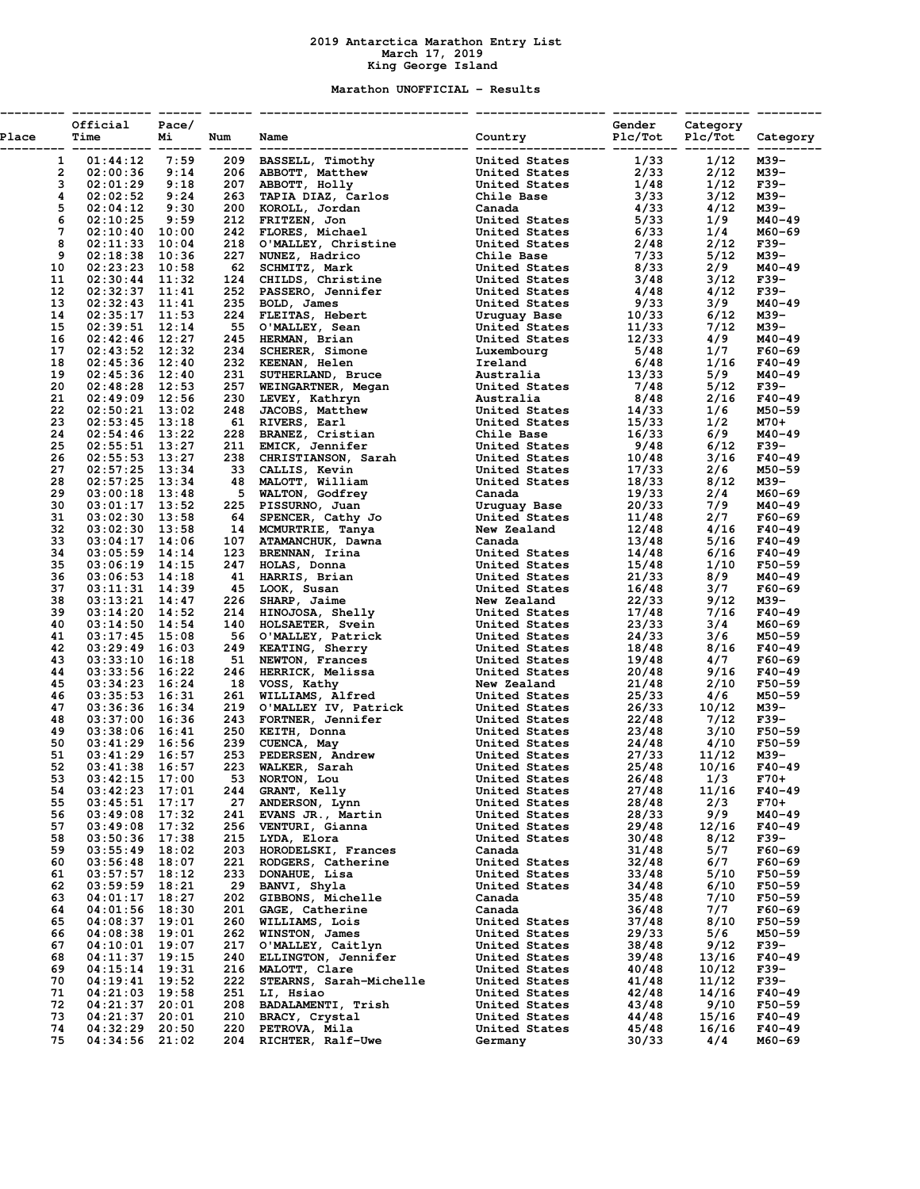## **2019 Antarctica Marathon Entry List March 17, 2019 King George Island**

## **Marathon UNOFFICIAL - Results**

| Place    | Official Pace/<br>Mi<br>Time         | Num | Name                               | Gender Category<br>Country     Plc/Tot Plc/Tot Category |                |               |                    |
|----------|--------------------------------------|-----|------------------------------------|---------------------------------------------------------|----------------|---------------|--------------------|
|          |                                      |     |                                    |                                                         |                |               |                    |
|          |                                      |     |                                    |                                                         |                |               |                    |
|          |                                      |     |                                    |                                                         |                |               |                    |
|          |                                      |     |                                    |                                                         |                |               |                    |
|          |                                      |     |                                    |                                                         |                |               |                    |
|          |                                      |     |                                    |                                                         |                |               |                    |
|          |                                      |     |                                    |                                                         |                |               |                    |
|          |                                      |     |                                    |                                                         |                |               |                    |
|          |                                      |     |                                    |                                                         |                |               |                    |
|          |                                      |     |                                    |                                                         |                |               |                    |
|          |                                      |     |                                    |                                                         |                |               |                    |
|          |                                      |     |                                    |                                                         |                |               |                    |
|          |                                      |     |                                    |                                                         |                |               |                    |
|          |                                      |     |                                    |                                                         |                |               |                    |
|          |                                      |     |                                    |                                                         |                |               |                    |
|          |                                      |     |                                    |                                                         |                |               |                    |
|          |                                      |     |                                    |                                                         |                |               |                    |
|          |                                      |     |                                    |                                                         |                |               |                    |
|          |                                      |     |                                    |                                                         |                |               |                    |
|          |                                      |     |                                    |                                                         |                |               |                    |
|          |                                      |     |                                    |                                                         |                |               |                    |
|          |                                      |     |                                    |                                                         |                |               |                    |
|          |                                      |     |                                    |                                                         |                |               |                    |
|          |                                      |     |                                    |                                                         |                |               |                    |
|          |                                      |     |                                    |                                                         |                |               |                    |
|          |                                      |     |                                    |                                                         |                |               |                    |
|          |                                      |     |                                    |                                                         |                |               |                    |
|          |                                      |     |                                    |                                                         |                |               |                    |
|          |                                      |     |                                    |                                                         |                |               |                    |
|          |                                      |     |                                    |                                                         |                |               |                    |
|          |                                      |     |                                    |                                                         |                |               |                    |
|          |                                      |     |                                    |                                                         |                |               |                    |
|          |                                      |     |                                    |                                                         |                |               |                    |
|          |                                      |     |                                    |                                                         |                |               |                    |
|          |                                      |     |                                    |                                                         |                |               |                    |
|          |                                      |     |                                    |                                                         |                |               |                    |
|          |                                      |     |                                    |                                                         |                |               |                    |
|          |                                      |     |                                    |                                                         |                |               |                    |
|          |                                      |     |                                    |                                                         |                |               |                    |
|          |                                      |     |                                    |                                                         |                |               |                    |
|          |                                      |     |                                    |                                                         |                |               |                    |
|          |                                      |     |                                    |                                                         |                |               |                    |
|          |                                      |     |                                    |                                                         |                |               |                    |
|          |                                      |     |                                    |                                                         |                |               |                    |
|          |                                      |     |                                    |                                                         |                |               |                    |
|          |                                      |     |                                    |                                                         |                |               |                    |
|          |                                      |     |                                    |                                                         |                |               |                    |
|          |                                      |     |                                    |                                                         |                |               |                    |
|          |                                      |     |                                    |                                                         |                |               |                    |
|          |                                      |     |                                    |                                                         |                |               |                    |
|          |                                      |     |                                    |                                                         |                |               |                    |
|          |                                      |     |                                    |                                                         |                |               |                    |
|          |                                      |     | 244 GRANT, Kelly                   |                                                         |                |               |                    |
| 54       | $03:42:23$ 17:01                     |     |                                    | United States                                           | 27/48          | 11/16         | $F40 - 49$         |
| 55       | $03:45:51$ 17:17                     | 27  | ANDERSON, Lynn                     | United States                                           | 28/48          | 2/3           | $F70+$             |
| 56       | $03:49:08$ 17:32                     | 241 | EVANS JR., Martin                  | United States<br>United States                          | 28/33          | 9/9           | M40-49             |
| 57<br>58 | $03:49:08$ 17:32<br>$03:50:36$ 17:38 | 215 | 256 VENTURI, Gianna<br>LYDA, Elora |                                                         | 29/48<br>30/48 | 12/16<br>8/12 | $F40 - 49$<br>F39- |
| 59       | $03:55:49$ 18:02                     |     | 203 HORODELSKI, Frances            | United States<br>Canada                                 | 31/48          | 5/7           | $F60 - 69$         |
| 60       | $03:56:48$ 18:07                     |     | 221 RODGERS, Catherine             | United States                                           | 32/48          | 6/7           | $F60 - 69$         |
| 61       | $03:57:57$ 18:12                     | 233 | DONAHUE, Lisa                      | United States                                           | 33/48          | 5/10          | $F50 - 59$         |
| 62       | $03:59:59$ 18:21                     | 29  | BANVI, Shyla                       | United States                                           | 34/48          | 6/10          | $F50 - 59$         |
| 63       | $04:01:17$ 18:27                     | 202 | GIBBONS, Michelle                  | Canada                                                  | 35/48          | 7/10          | $F50 - 59$         |
| 64       | $04:01:56$ 18:30                     | 201 | GAGE, Catherine                    | Canada                                                  | 36/48          | 7/7           | $F60 - 69$         |
| 65       | 04:08:37 19:01                       | 260 | WILLIAMS, Lois                     | United States                                           | 37/48          | 8/10          | $F50 - 59$         |
| 66       | $04:08:38$ 19:01                     | 262 | WINSTON, James                     | United States                                           | 29/33          | 5/6           | M50-59             |
| 67       | $04:10:01$ 19:07                     | 217 | O'MALLEY, Caitlyn                  | United States                                           | 38/48          | 9/12          | F39-               |
| 68       | $04:11:37$ 19:15                     | 240 | ELLINGTON, Jennifer                | United States                                           | 39/48          | 13/16         | $F40 - 49$         |
| 69       | $04:15:14$ 19:31                     |     | 216 MALOTT, Clare                  | United States                                           | 40/48          | 10/12         | F39-               |
| 70       | $04:19:41$ 19:52                     | 222 | STEARNS, Sarah-Michelle            | United States                                           | 41/48          | 11/12         | F39-               |
| 71       | $04:21:03$ 19:58                     |     | 251 LI, Hsiao                      | United States                                           | 42/48          | 14/16         | $F40 - 49$         |
| 72       | $04:21:37$ 20:01                     |     | 208 BADALAMENTI, Trish             | United States                                           | 43/48          | 9/10          | $F50 - 59$         |
| 73       | $04:21:37$ 20:01                     |     | 210 BRACY, Crystal                 | United States                                           | 44/48          | 15/16         | F40-49             |
| 74       | $04:32:29$ 20:50                     |     | 220 PETROVA, Mila                  | United States                                           | 45/48          | 16/16         | $F40-49$           |
| 75       | $04:34:56$ 21:02                     |     | 204 RICHTER, Ralf-Uwe              | Germany                                                 | 30/33          | 4/4           | M60-69             |